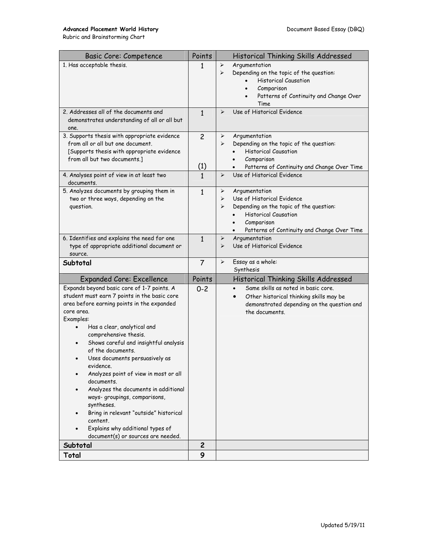## Advanced Placement World History **Document Based Essay (DBQ)**

Rubric and Brainstorming Chart

| <b>Basic Core: Competence</b>                                                         | Points         | Historical Thinking Skills Addressed                              |
|---------------------------------------------------------------------------------------|----------------|-------------------------------------------------------------------|
| 1. Has acceptable thesis.                                                             | 1              | Argumentation<br>➤                                                |
|                                                                                       |                | Depending on the topic of the question:<br>⋗                      |
|                                                                                       |                | <b>Historical Causation</b>                                       |
|                                                                                       |                | Comparison<br>$\bullet$                                           |
|                                                                                       |                | Patterns of Continuity and Change Over<br>$\bullet$               |
|                                                                                       |                | Time                                                              |
| 2. Addresses all of the documents and<br>demonstrates understanding of all or all but | 1              | Use of Historical Evidence<br>⋗                                   |
| one.                                                                                  |                |                                                                   |
| 3. Supports thesis with appropriate evidence                                          | $\overline{c}$ | Argumentation<br>➤                                                |
| from all or all but one document.                                                     |                | Depending on the topic of the question:<br>⋗                      |
| [Supports thesis with appropriate evidence                                            |                | <b>Historical Causation</b>                                       |
| from all but two documents.]                                                          |                | Comparison                                                        |
|                                                                                       | (1)            | Patterns of Continuity and Change Over Time                       |
| 4. Analyses point of view in at least two                                             | 1              | Use of Historical Evidence<br>➤                                   |
| documents.                                                                            |                |                                                                   |
| 5. Analyzes documents by grouping them in                                             | 1              | Argumentation<br>➤                                                |
| two or three ways, depending on the                                                   |                | Use of Historical Evidence<br>➤                                   |
| question.                                                                             |                | Depending on the topic of the question:<br>⋗                      |
|                                                                                       |                | <b>Historical Causation</b>                                       |
|                                                                                       |                | Comparison<br>$\bullet$                                           |
| 6. Identifies and explains the need for one                                           |                | Patterns of Continuity and Change Over Time<br>Argumentation<br>➤ |
| type of appropriate additional document or                                            | $\mathbf{1}$   | Use of Historical Evidence<br>$\blacktriangleright$               |
| source.                                                                               |                |                                                                   |
| Subtotal                                                                              | 7              | Essay as a whole:<br>➤                                            |
|                                                                                       |                | Synthesis                                                         |
| <b>Expanded Core: Excellence</b>                                                      | Points         | Historical Thinking Skills Addressed                              |
| Expands beyond basic core of 1-7 points. A                                            | $0 - 2$        | Same skills as noted in basic core.                               |
| student must earn 7 points in the basic core                                          |                | Other historical thinking skills may be                           |
| area before earning points in the expanded<br>core area.                              |                | demonstrated depending on the question and                        |
| Examples:                                                                             |                | the documents.                                                    |
| Has a clear, analytical and<br>$\bullet$                                              |                |                                                                   |
| comprehensive thesis.                                                                 |                |                                                                   |
| Shows careful and insightful analysis                                                 |                |                                                                   |
| of the documents.                                                                     |                |                                                                   |
| Uses documents persuasively as                                                        |                |                                                                   |
| evidence.                                                                             |                |                                                                   |
| Analyzes point of view in most or all                                                 |                |                                                                   |
| documents.                                                                            |                |                                                                   |
| Analyzes the documents in additional                                                  |                |                                                                   |
| ways-groupings, comparisons,                                                          |                |                                                                   |
| syntheses.<br>Bring in relevant "outside" historical                                  |                |                                                                   |
| content.                                                                              |                |                                                                   |
| Explains why additional types of                                                      |                |                                                                   |
| document(s) or sources are needed.                                                    |                |                                                                   |
| Subtotal                                                                              | $\mathbf{2}$   |                                                                   |
| Total                                                                                 | 9              |                                                                   |